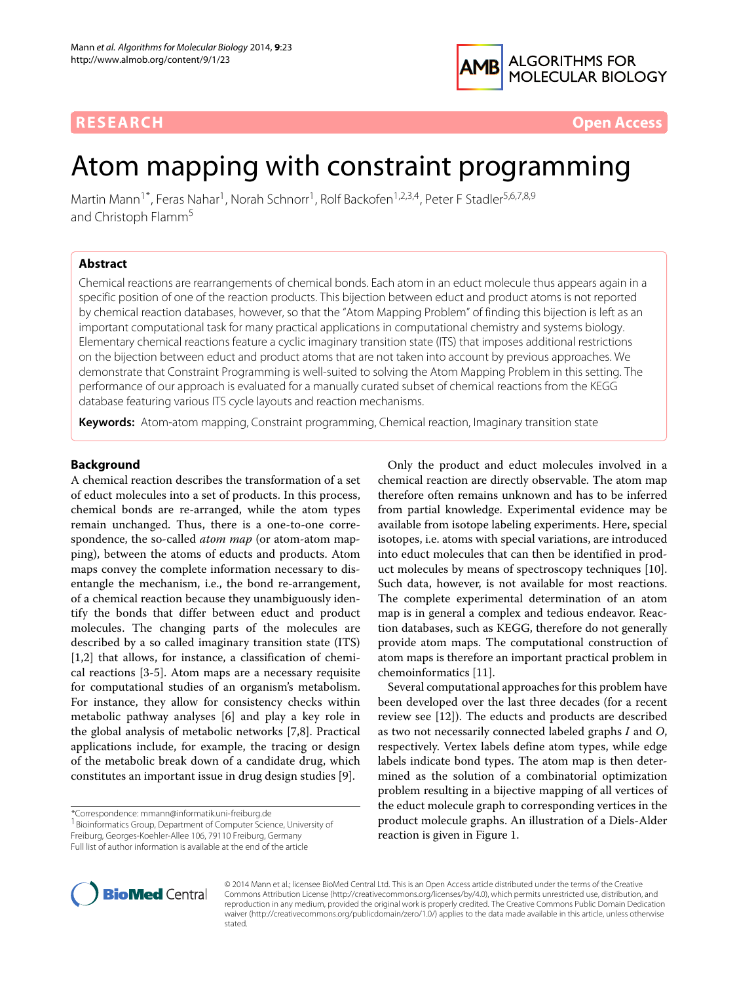# **RESEARCH Open Access**

ALGORITHMS FOR<br>MOLECULAR BIOLOGY

# Atom mapping with constraint programming

Martin Mann<sup>1\*</sup>, Feras Nahar<sup>1</sup>, Norah Schnorr<sup>1</sup>, Rolf Backofen<sup>1,2,3,4</sup>, Peter F Stadler<sup>5,6,7,8,9</sup> and Christoph Flamm<sup>5</sup>

# **Abstract**

Chemical reactions are rearrangements of chemical bonds. Each atom in an educt molecule thus appears again in a specific position of one of the reaction products. This bijection between educt and product atoms is not reported by chemical reaction databases, however, so that the "Atom Mapping Problem" of finding this bijection is left as an important computational task for many practical applications in computational chemistry and systems biology. Elementary chemical reactions feature a cyclic imaginary transition state (ITS) that imposes additional restrictions on the bijection between educt and product atoms that are not taken into account by previous approaches. We demonstrate that Constraint Programming is well-suited to solving the Atom Mapping Problem in this setting. The performance of our approach is evaluated for a manually curated subset of chemical reactions from the KEGG database featuring various ITS cycle layouts and reaction mechanisms.

**Keywords:** Atom-atom mapping, Constraint programming, Chemical reaction, Imaginary transition state

# **Background**

A chemical reaction describes the transformation of a set of educt molecules into a set of products. In this process, chemical bonds are re-arranged, while the atom types remain unchanged. Thus, there is a one-to-one correspondence, the so-called *atom map* (or atom-atom mapping), between the atoms of educts and products. Atom maps convey the complete information necessary to disentangle the mechanism, i.e., the bond re-arrangement, of a chemical reaction because they unambiguously identify the bonds that differ between educt and product molecules. The changing parts of the molecules are described by a so called imaginary transition state (ITS) [\[1,](#page-10-0)[2\]](#page-10-1) that allows, for instance, a classification of chemical reactions [\[3](#page-10-2)[-5\]](#page-10-3). Atom maps are a necessary requisite for computational studies of an organism's metabolism. For instance, they allow for consistency checks within metabolic pathway analyses [\[6\]](#page-10-4) and play a key role in the global analysis of metabolic networks [\[7,](#page-10-5)[8\]](#page-10-6). Practical applications include, for example, the tracing or design of the metabolic break down of a candidate drug, which constitutes an important issue in drug design studies [\[9\]](#page-10-7).

\*Correspondence: [mmann@informatik.uni-freiburg.de](mailto: mmann@informatik.uni-freiburg.de)

<sup>1</sup> Bioinformatics Group, Department of Computer Science, University of Freiburg, Georges-Koehler-Allee 106, 79110 Freiburg, Germany

Full list of author information is available at the end of the article

Only the product and educt molecules involved in a chemical reaction are directly observable. The atom map therefore often remains unknown and has to be inferred from partial knowledge. Experimental evidence may be available from isotope labeling experiments. Here, special isotopes, i.e. atoms with special variations, are introduced into educt molecules that can then be identified in product molecules by means of spectroscopy techniques [\[10\]](#page-10-8). Such data, however, is not available for most reactions. The complete experimental determination of an atom map is in general a complex and tedious endeavor. Reaction databases, such as KEGG, therefore do not generally provide atom maps. The computational construction of atom maps is therefore an important practical problem in chemoinformatics [\[11\]](#page-10-9).

Several computational approaches for this problem have been developed over the last three decades (for a recent review see [\[12\]](#page-10-10)). The educts and products are described as two not necessarily connected labeled graphs *I* and *O*, respectively. Vertex labels define atom types, while edge labels indicate bond types. The atom map is then determined as the solution of a combinatorial optimization problem resulting in a bijective mapping of all vertices of the educt molecule graph to corresponding vertices in the product molecule graphs. An illustration of a Diels-Alder reaction is given in Figure [1.](#page-1-0)



© 2014 Mann et al.; licensee BioMed Central Ltd. This is an Open Access article distributed under the terms of the Creative Commons Attribution License [\(http://creativecommons.org/licenses/by/4.0\)](http://creativecommons.org/licenses/by/4.0), which permits unrestricted use, distribution, and reproduction in any medium, provided the original work is properly credited. The Creative Commons Public Domain Dedication waiver [\(http://creativecommons.org/publicdomain/zero/1.0/\)](http://creativecommons.org/publicdomain/zero/1.0/) applies to the data made available in this article, unless otherwise stated.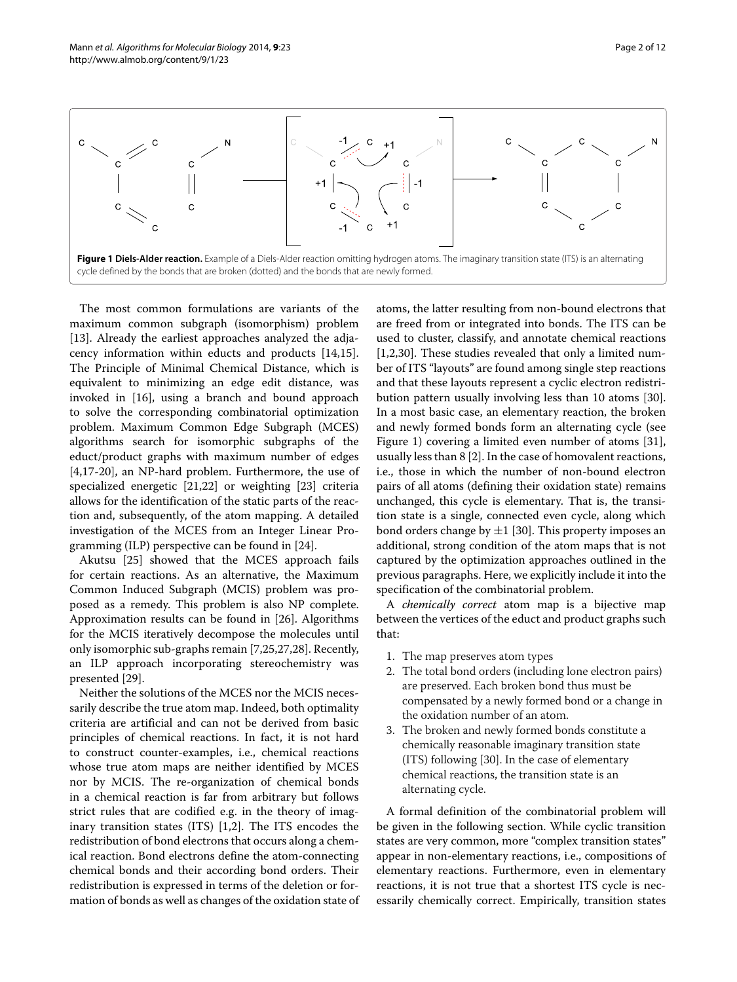

<span id="page-1-0"></span>The most common formulations are variants of the maximum common subgraph (isomorphism) problem [\[13\]](#page-10-11). Already the earliest approaches analyzed the adjacency information within educts and products [\[14,](#page-10-12)[15\]](#page-10-13). The Principle of Minimal Chemical Distance, which is equivalent to minimizing an edge edit distance, was invoked in [\[16\]](#page-10-14), using a branch and bound approach to solve the corresponding combinatorial optimization problem. Maximum Common Edge Subgraph (MCES) algorithms search for isomorphic subgraphs of the educt/product graphs with maximum number of edges [\[4](#page-10-15)[,17](#page-10-16)[-20\]](#page-11-0), an NP-hard problem. Furthermore, the use of specialized energetic [\[21](#page-11-1)[,22\]](#page-11-2) or weighting [\[23\]](#page-11-3) criteria allows for the identification of the static parts of the reaction and, subsequently, of the atom mapping. A detailed investigation of the MCES from an Integer Linear Programming (ILP) perspective can be found in [\[24\]](#page-11-4).

Akutsu [\[25\]](#page-11-5) showed that the MCES approach fails for certain reactions. As an alternative, the Maximum Common Induced Subgraph (MCIS) problem was proposed as a remedy. This problem is also NP complete. Approximation results can be found in [\[26\]](#page-11-6). Algorithms for the MCIS iteratively decompose the molecules until only isomorphic sub-graphs remain [\[7](#page-10-5)[,25](#page-11-5)[,27](#page-11-7)[,28\]](#page-11-8). Recently, an ILP approach incorporating stereochemistry was presented [\[29\]](#page-11-9).

Neither the solutions of the MCES nor the MCIS necessarily describe the true atom map. Indeed, both optimality criteria are artificial and can not be derived from basic principles of chemical reactions. In fact, it is not hard to construct counter-examples, i.e., chemical reactions whose true atom maps are neither identified by MCES nor by MCIS. The re-organization of chemical bonds in a chemical reaction is far from arbitrary but follows strict rules that are codified e.g. in the theory of imaginary transition states (ITS) [\[1,](#page-10-0)[2\]](#page-10-1). The ITS encodes the redistribution of bond electrons that occurs along a chemical reaction. Bond electrons define the atom-connecting chemical bonds and their according bond orders. Their redistribution is expressed in terms of the deletion or formation of bonds as well as changes of the oxidation state of atoms, the latter resulting from non-bound electrons that are freed from or integrated into bonds. The ITS can be used to cluster, classify, and annotate chemical reactions [\[1](#page-10-0)[,2,](#page-10-1)[30\]](#page-11-10). These studies revealed that only a limited number of ITS "layouts" are found among single step reactions and that these layouts represent a cyclic electron redistribution pattern usually involving less than 10 atoms [\[30\]](#page-11-10). In a most basic case, an elementary reaction, the broken and newly formed bonds form an alternating cycle (see Figure [1\)](#page-1-0) covering a limited even number of atoms [\[31\]](#page-11-11), usually less than 8 [\[2\]](#page-10-1). In the case of homovalent reactions, i.e., those in which the number of non-bound electron pairs of all atoms (defining their oxidation state) remains unchanged, this cycle is elementary. That is, the transition state is a single, connected even cycle, along which bond orders change by  $\pm 1$  [\[30\]](#page-11-10). This property imposes an additional, strong condition of the atom maps that is not captured by the optimization approaches outlined in the previous paragraphs. Here, we explicitly include it into the specification of the combinatorial problem.

A *chemically correct* atom map is a bijective map between the vertices of the educt and product graphs such that:

- 1. The map preserves atom types
- 2. The total bond orders (including lone electron pairs) are preserved. Each broken bond thus must be compensated by a newly formed bond or a change in the oxidation number of an atom.
- 3. The broken and newly formed bonds constitute a chemically reasonable imaginary transition state (ITS) following [\[30\]](#page-11-10). In the case of elementary chemical reactions, the transition state is an alternating cycle.

A formal definition of the combinatorial problem will be given in the following section. While cyclic transition states are very common, more "complex transition states" appear in non-elementary reactions, i.e., compositions of elementary reactions. Furthermore, even in elementary reactions, it is not true that a shortest ITS cycle is necessarily chemically correct. Empirically, transition states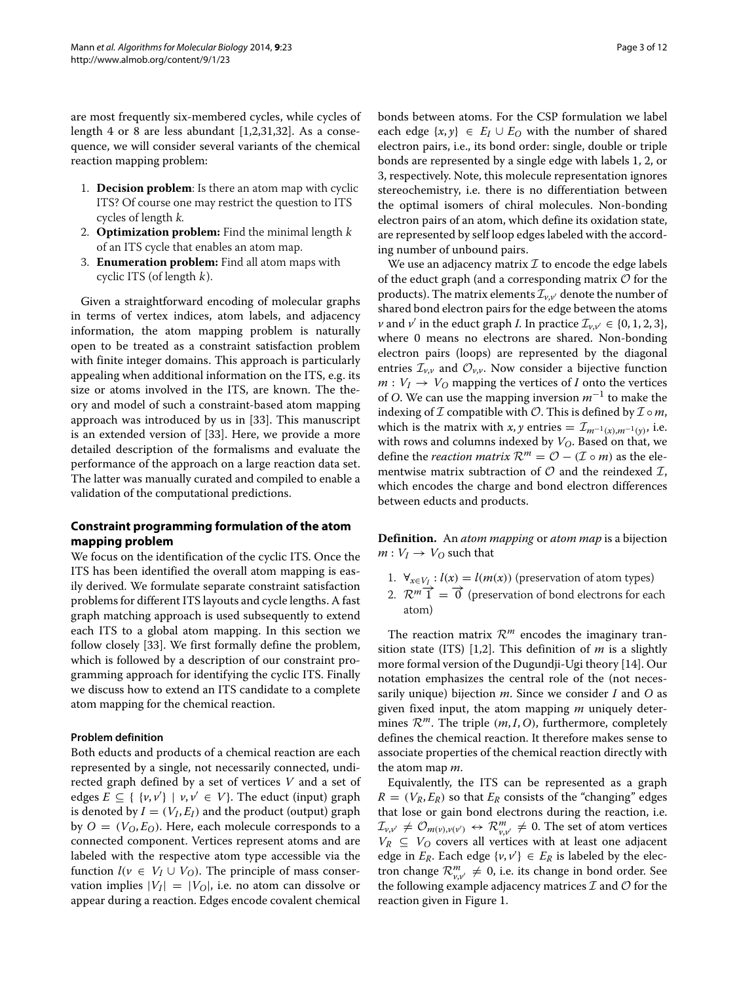are most frequently six-membered cycles, while cycles of length 4 or 8 are less abundant [\[1,](#page-10-0)[2,](#page-10-1)[31,](#page-11-11)[32\]](#page-11-12). As a consequence, we will consider several variants of the chemical reaction mapping problem:

- 1. **Decision problem**: Is there an atom map with cyclic ITS? Of course one may restrict the question to ITS cycles of length k.
- 2. **Optimization problem:** Find the minimal length k of an ITS cycle that enables an atom map.
- 3. **Enumeration problem:** Find all atom maps with cyclic ITS (of length k).

Given a straightforward encoding of molecular graphs in terms of vertex indices, atom labels, and adjacency information, the atom mapping problem is naturally open to be treated as a constraint satisfaction problem with finite integer domains. This approach is particularly appealing when additional information on the ITS, e.g. its size or atoms involved in the ITS, are known. The theory and model of such a constraint-based atom mapping approach was introduced by us in [\[33\]](#page-11-13). This manuscript is an extended version of [\[33\]](#page-11-13). Here, we provide a more detailed description of the formalisms and evaluate the performance of the approach on a large reaction data set. The latter was manually curated and compiled to enable a validation of the computational predictions.

# **Constraint programming formulation of the atom mapping problem**

We focus on the identification of the cyclic ITS. Once the ITS has been identified the overall atom mapping is easily derived. We formulate separate constraint satisfaction problems for different ITS layouts and cycle lengths. A fast graph matching approach is used subsequently to extend each ITS to a global atom mapping. In this section we follow closely [\[33\]](#page-11-13). We first formally define the problem, which is followed by a description of our constraint programming approach for identifying the cyclic ITS. Finally we discuss how to extend an ITS candidate to a complete atom mapping for the chemical reaction.

# <span id="page-2-0"></span>**Problem definition**

Both educts and products of a chemical reaction are each represented by a single, not necessarily connected, undirected graph defined by a set of vertices *V* and a set of edges  $E \subseteq \{ \{v, v'\} \mid v, v' \in V \}$ . The educt (input) graph is denoted by  $I = (V_I, E_I)$  and the product (output) graph by  $O = (V_O, E_O)$ . Here, each molecule corresponds to a connected component. Vertices represent atoms and are labeled with the respective atom type accessible via the function  $l(v \in V_I \cup V_O)$ . The principle of mass conservation implies  $|V_I| = |V_O|$ , i.e. no atom can dissolve or appear during a reaction. Edges encode covalent chemical

bonds between atoms. For the CSP formulation we label each edge  $\{x, y\} \in E_I \cup E_O$  with the number of shared electron pairs, i.e., its bond order: single, double or triple bonds are represented by a single edge with labels 1, 2, or 3, respectively. Note, this molecule representation ignores stereochemistry, i.e. there is no differentiation between the optimal isomers of chiral molecules. Non-bonding electron pairs of an atom, which define its oxidation state, are represented by self loop edges labeled with the according number of unbound pairs.

We use an adjacency matrix  $\mathcal I$  to encode the edge labels of the educt graph (and a corresponding matrix  $\mathcal O$  for the products). The matrix elements  $\mathcal{I}_{v,v'}$  denote the number of shared bond electron pairs for the edge between the atoms *v* and *v'* in the educt graph *I*. In practice  $\mathcal{I}_{\nu,\nu'} \in \{0, 1, 2, 3\}$ , where 0 means no electrons are shared. Non-bonding electron pairs (loops) are represented by the diagonal entries  $\mathcal{I}_{v,v}$  and  $\mathcal{O}_{v,v}$ . Now consider a bijective function  $m: V_I \rightarrow V_O$  mapping the vertices of *I* onto the vertices of *O*. We can use the mapping inversion *m*−<sup>1</sup> to make the indexing of  $\mathcal I$  compatible with  $\mathcal O$ . This is defined by  $\mathcal I \circ m$ , which is the matrix with *x*, *y* entries =  $\mathcal{I}_{m^{-1}(x),m^{-1}(y)}$ , i.e. with rows and columns indexed by  $V_O$ . Based on that, we define the *reaction matrix*  $\mathcal{R}^m = \mathcal{O} - (\mathcal{I} \circ m)$  as the elementwise matrix subtraction of  $\mathcal O$  and the reindexed  $\mathcal I$ , which encodes the charge and bond electron differences between educts and products.

**Definition.** An *atom mapping* or *atom map* is a bijection  $m: V_I \rightarrow V_O$  such that

- 1.  $\forall_{x \in V_1} : l(x) = l(m(x))$  (preservation of atom types)
- 2.  $\mathcal{R}^m \vec{1} = \vec{0}$  (preservation of bond electrons for each atom)

The reaction matrix  $\mathcal{R}^m$  encodes the imaginary transition state (ITS) [\[1](#page-10-0)[,2\]](#page-10-1). This definition of *m* is a slightly more formal version of the Dugundji-Ugi theory [\[14\]](#page-10-12). Our notation emphasizes the central role of the (not necessarily unique) bijection *m*. Since we consider *I* and *O* as given fixed input, the atom mapping *m* uniquely determines  $\mathcal{R}^m$ . The triple  $(m, I, O)$ , furthermore, completely defines the chemical reaction. It therefore makes sense to associate properties of the chemical reaction directly with the atom map *m*.

Equivalently, the ITS can be represented as a graph  $R = (V_R, E_R)$  so that  $E_R$  consists of the "changing" edges that lose or gain bond electrons during the reaction, i.e.  $\mathcal{I}_{\nu,\nu'} \neq \mathcal{O}_{m(\nu),\nu(\nu')} \leftrightarrow \mathcal{R}^m_{\nu,\nu'} \neq 0$ . The set of atom vertices  $V_R \subseteq V_O$  covers all vertices with at least one adjacent edge in  $E_R$ . Each edge  $\{v, v'\} \in E_R$  is labeled by the electron change  $\mathcal{R}^m_{v,v'} \neq 0$ , i.e. its change in bond order. See the following example adjacency matrices  $\mathcal I$  and  $\mathcal O$  for the reaction given in Figure [1.](#page-1-0)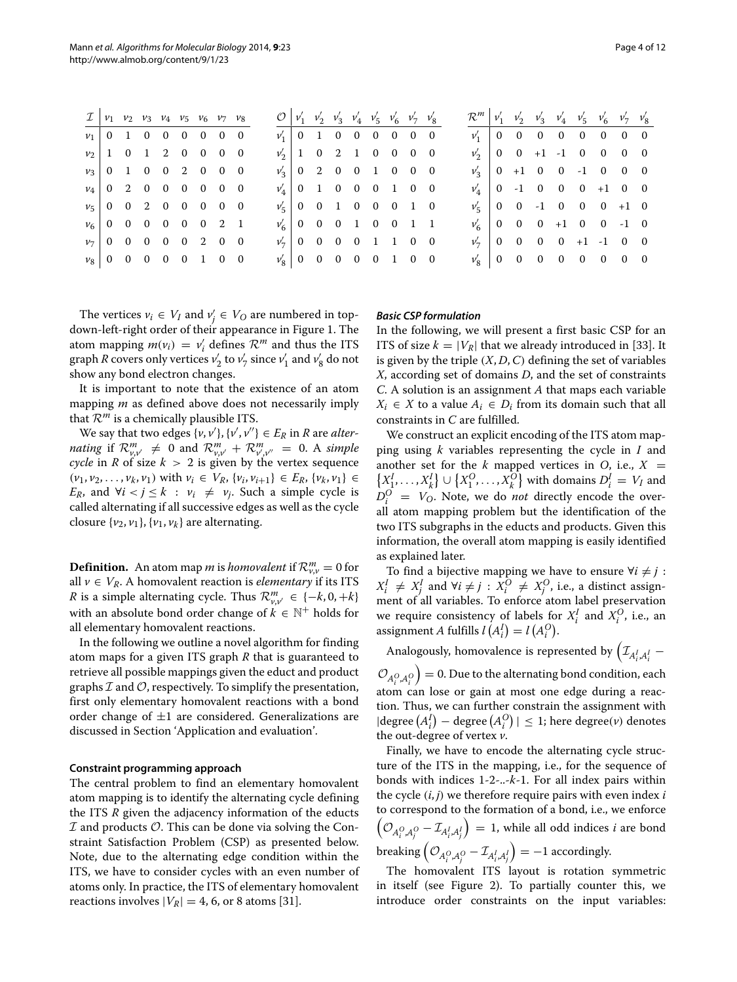|  |  | $\mathcal{I}$ $\begin{vmatrix} v_1 & v_2 & v_3 & v_4 & v_5 & v_6 & v_7 & v_8 \end{vmatrix}$ |  |  |  | $\mathcal{O}$ $v'_1$ $v'_2$ $v'_3$ $v'_4$ $v'_5$ $v'_6$ $v'_7$ $v'_8$ |  |  |  | $\mathcal{R}^m$ $\begin{vmatrix} v'_1 & v'_2 & v'_3 & v'_4 & v'_5 & v'_6 & v'_7 & v'_8 \end{vmatrix}$ |                          |  |  |  |
|--|--|---------------------------------------------------------------------------------------------|--|--|--|-----------------------------------------------------------------------|--|--|--|-------------------------------------------------------------------------------------------------------|--------------------------|--|--|--|
|  |  | $v_1$ 0 1 0 0 0 0 0 0                                                                       |  |  |  | $v'_1$ 0 1 0 0 0 0 0 0                                                |  |  |  |                                                                                                       | $v'_1$ 0 0 0 0 0 0 0 0   |  |  |  |
|  |  | $v_2$ 1 0 1 2 0 0 0 0                                                                       |  |  |  | $v'_2$ 1 0 2 1 0 0 0 0                                                |  |  |  |                                                                                                       | $v'_2$ 0 0 +1 -1 0 0 0 0 |  |  |  |
|  |  | $v_3$ 0 1 0 0 2 0 0 0                                                                       |  |  |  | $v'_3$ 0 2 0 0 1 0 0 0                                                |  |  |  |                                                                                                       | $v'_3$ 0 +1 0 0 -1 0 0 0 |  |  |  |
|  |  | $v_4$ 0 2 0 0 0 0 0 0                                                                       |  |  |  | $v_4'$ 0 1 0 0 0 1 0 0                                                |  |  |  |                                                                                                       | $v'_4$ 0 -1 0 0 0 +1 0 0 |  |  |  |
|  |  | $v_5$ 0 0 2 0 0 0 0 0                                                                       |  |  |  | $v'_{5}$ 0 0 1 0 0 0 1 0                                              |  |  |  |                                                                                                       | $v'_5$ 0 0 -1 0 0 0 +1 0 |  |  |  |
|  |  | $v_6$ 0 0 0 0 0 0 2 1                                                                       |  |  |  | $v'_6$ 0 0 0 1 0 0 1 1                                                |  |  |  |                                                                                                       | $v'_6$ 0 0 0 +1 0 0 -1 0 |  |  |  |
|  |  | $v_7$ 0 0 0 0 0 2 0 0                                                                       |  |  |  | $v'_7$ 0 0 0 0 1 1 0 0                                                |  |  |  |                                                                                                       | $v'_7$ 0 0 0 0 +1 -1 0 0 |  |  |  |
|  |  | $v_8$ 0 0 0 0 0 1 0 0                                                                       |  |  |  | $v'_8$ 0 0 0 0 0 1 0 0                                                |  |  |  |                                                                                                       | $v'_8$ 0 0 0 0 0 0 0 0   |  |  |  |

The vertices  $v_i \in V_I$  and  $v'_j \in V_O$  are numbered in topdown-left-right order of their appearance in Figure [1.](#page-1-0) The atom mapping  $m(v_i) = v'_i$  defines  $\mathcal{R}^m$  and thus the ITS graph *R* covers only vertices  $v_2'$  to  $v_7'$  since  $v_1'$  and  $v_8'$  do not show any bond electron changes.

It is important to note that the existence of an atom mapping *m* as defined above does not necessarily imply that  $\mathcal{R}^m$  is a chemically plausible ITS.

We say that two edges  $\{v, v'\}, \{v', v''\} \in E_R$  in *R* are *alternating* if  $\mathcal{R}^m_{v,v'} \neq 0$  and  $\mathcal{R}^m_{v,v'} + \mathcal{R}^m_{v',v''} = 0$ . A *simple cycle* in *R* of size  $k > 2$  is given by the vertex sequence  $(v_1, v_2, \ldots, v_k, v_1)$  with  $v_i \in V_R$ ,  $\{v_i, v_{i+1}\} \in E_R$ ,  $\{v_k, v_1\} \in$ *ER*, and  $\forall i < j \leq k : v_i \neq v_j$ . Such a simple cycle is called alternating if all successive edges as well as the cycle closure  $\{v_2, v_1\}$ ,  $\{v_1, v_k\}$  are alternating.

**Definition.** An atom map *m* is *homovalent* if  $\mathcal{R}^m_{v,v} = 0$  for all  $v \in V_R$ . A homovalent reaction is *elementary* if its ITS *R* is a simple alternating cycle. Thus  $\mathcal{R}^m_{\nu,\nu'} \in \{-k,0, +k\}$ with an absolute bond order change of  $k \in \mathbb{N}^+$  holds for all elementary homovalent reactions.

In the following we outline a novel algorithm for finding atom maps for a given ITS graph *R* that is guaranteed to retrieve all possible mappings given the educt and product graphs  $\mathcal I$  and  $\mathcal O$ , respectively. To simplify the presentation, first only elementary homovalent reactions with a bond order change of  $\pm 1$  are considered. Generalizations are discussed in Section ['Application and evaluation'](#page-7-0).

#### **Constraint programming approach**

The central problem to find an elementary homovalent atom mapping is to identify the alternating cycle defining the ITS *R* given the adjacency information of the educts  $I$  and products  $O$ . This can be done via solving the Constraint Satisfaction Problem (CSP) as presented below. Note, due to the alternating edge condition within the ITS, we have to consider cycles with an even number of atoms only. In practice, the ITS of elementary homovalent reactions involves  $|V_R| = 4$ , 6, or 8 atoms [\[31\]](#page-11-11).

#### *Basic CSP formulation*

In the following, we will present a first basic CSP for an ITS of size  $k = |V_R|$  that we already introduced in [\[33\]](#page-11-13). It is given by the triple  $(X, D, C)$  defining the set of variables *X*, according set of domains *D*, and the set of constraints *C*. A solution is an assignment *A* that maps each variable  $X_i$  ∈ *X* to a value  $A_i$  ∈  $D_i$  from its domain such that all constraints in *C* are fulfilled.

We construct an explicit encoding of the ITS atom mapping using *k* variables representing the cycle in *I* and another set for the  $k$  mapped vertices in  $O$ , i.e.,  $X =$  $\{X_1^I, \ldots, X_k^I\} \cup \{X_1^O, \ldots, X_k^O\}$  with domains  $D_i^I = V_I$  and  $D_i^O = V_O$ . Note, we do *not* directly encode the overall atom mapping problem but the identification of the two ITS subgraphs in the educts and products. Given this information, the overall atom mapping is easily identified as explained later.

To find a bijective mapping we have to ensure  $\forall i \neq j$ :  $X_i^I \neq X_j^I$  and  $\forall i \neq j$  :  $X_i^O \neq X_j^O$ , i.e., a distinct assignment of all variables. To enforce atom label preservation we require consistency of labels for  $X_i^I$  and  $X_i^O$ , i.e., an assignment *A* fulfills  $l(A_i^I) = l(A_i^O)$ .

Analogously, homovalence is represented by  $\left(\mathcal{I}_{A^{I}_{i},A^{I}_{i}}-\right.$ 

 $O_{A_i^O, A_i^O}$  $= 0$ . Due to the alternating bond condition, each atom can lose or gain at most one edge during a reaction. Thus, we can further constrain the assignment with  $|\text{degree}(A_i^I) - \text{degree}(A_i^O)| \leq 1$ ; here degree $(v)$  denotes the out-degree of vertex *v*.

Finally, we have to encode the alternating cycle structure of the ITS in the mapping, i.e., for the sequence of bonds with indices 1-2-..-*k*-1. For all index pairs within the cycle  $(i, j)$  we therefore require pairs with even index  $i$ to correspond to the formation of a bond, i.e., we enforce  $\left( \mathcal{O}_{A_i^O, A_j^O} - \mathcal{I}_{A_i^I, A_j^I} \right)$  $= 1$ , while all odd indices *i* are bond breaking  $\left( \mathcal{O}_{A_i^O, A_j^O} - \mathcal{I}_{A_i^I, A_j^I} \right)$  $= -1$  accordingly.

The homovalent ITS layout is rotation symmetric in itself (see Figure [2\)](#page-4-0). To partially counter this, we introduce order constraints on the input variables: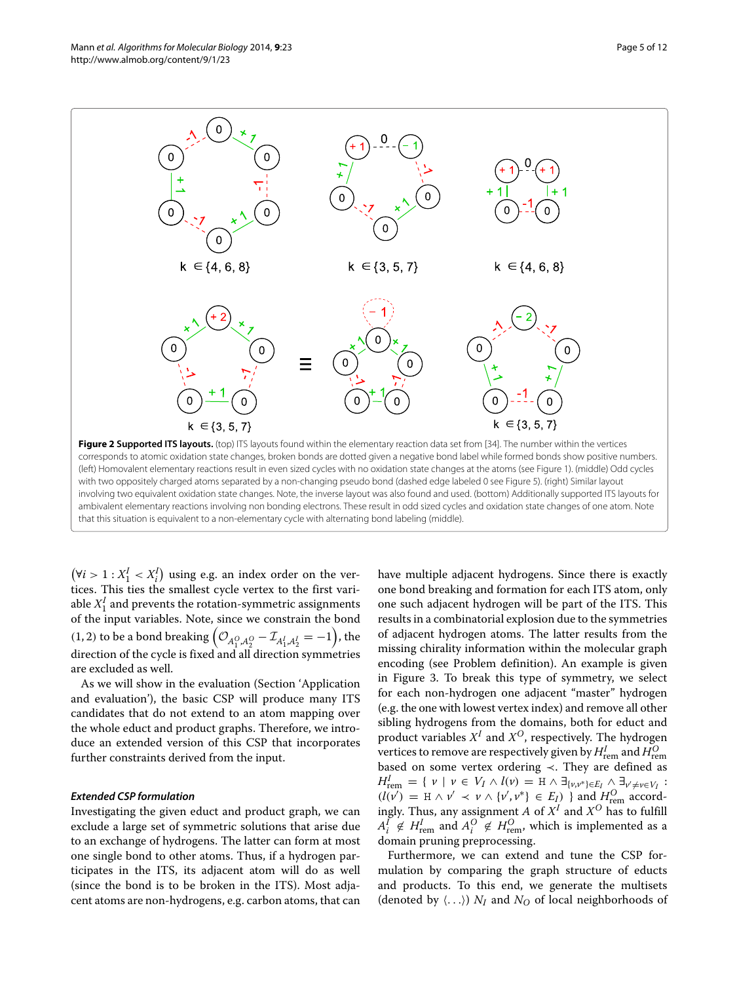

<span id="page-4-0"></span>that this situation is equivalent to a non-elementary cycle with alternating bond labeling (middle).

 $(\forall i > 1 : X_1^I < X_i^I)$  using e.g. an index order on the vertices. This ties the smallest cycle vertex to the first variable  $X_1^I$  and prevents the rotation-symmetric assignments of the input variables. Note, since we constrain the bond (1, 2) to be a bond breaking  $\Bigl({\mathcal O}_{A_1^O, A_2^O} - {\mathcal I}_{A_1^I, A_2^I} = -1\Bigr)$ , the direction of the cycle is fixed and all direction symmetries are excluded as well.

As we will show in the evaluation (Section ['Application](#page-7-2) [and evaluation'](#page-7-2)), the basic CSP will produce many ITS candidates that do not extend to an atom mapping over the whole educt and product graphs. Therefore, we introduce an extended version of this CSP that incorporates further constraints derived from the input.

# <span id="page-4-1"></span>*Extended CSP formulation*

Investigating the given educt and product graph, we can exclude a large set of symmetric solutions that arise due to an exchange of hydrogens. The latter can form at most one single bond to other atoms. Thus, if a hydrogen participates in the ITS, its adjacent atom will do as well (since the bond is to be broken in the ITS). Most adjacent atoms are non-hydrogens, e.g. carbon atoms, that can have multiple adjacent hydrogens. Since there is exactly one bond breaking and formation for each ITS atom, only one such adjacent hydrogen will be part of the ITS. This results in a combinatorial explosion due to the symmetries of adjacent hydrogen atoms. The latter results from the missing chirality information within the molecular graph encoding (see [Problem definition\)](#page-2-0). An example is given in Figure [3.](#page-5-0) To break this type of symmetry, we select for each non-hydrogen one adjacent "master" hydrogen (e.g. the one with lowest vertex index) and remove all other sibling hydrogens from the domains, both for educt and product variables  $X^I$  and  $X^O$ , respectively. The hydrogen vertices to remove are respectively given by  $H_{\text{rem}}^{I}$  and  $H_{\text{rem}}^{O}$ based on some vertex ordering ≺. They are defined as  $H_{\text{rem}}^I = \{ \nu \mid \nu \in V_I \wedge l(\nu) = H \wedge \exists_{\{\nu,\nu^*\}\in E_I} \wedge \exists_{\nu'\neq \nu \in V_I}$  $(l(v') = H \wedge v' \prec v \wedge \{v', v^*\} \in E_I)$  } and  $H_{\text{rem}}^O$  accordingly. Thus, any assignment *A* of  $X^I$  and  $X^O$  has to fulfill  $A_i^I \notin H_{\text{rem}}^I$  and  $A_i^O \notin H_{\text{rem}}^O$ , which is implemented as a domain pruning preprocessing.

Furthermore, we can extend and tune the CSP formulation by comparing the graph structure of educts and products. To this end, we generate the multisets (denoted by  $\langle \ldots \rangle$ )  $N_I$  and  $N_O$  of local neighborhoods of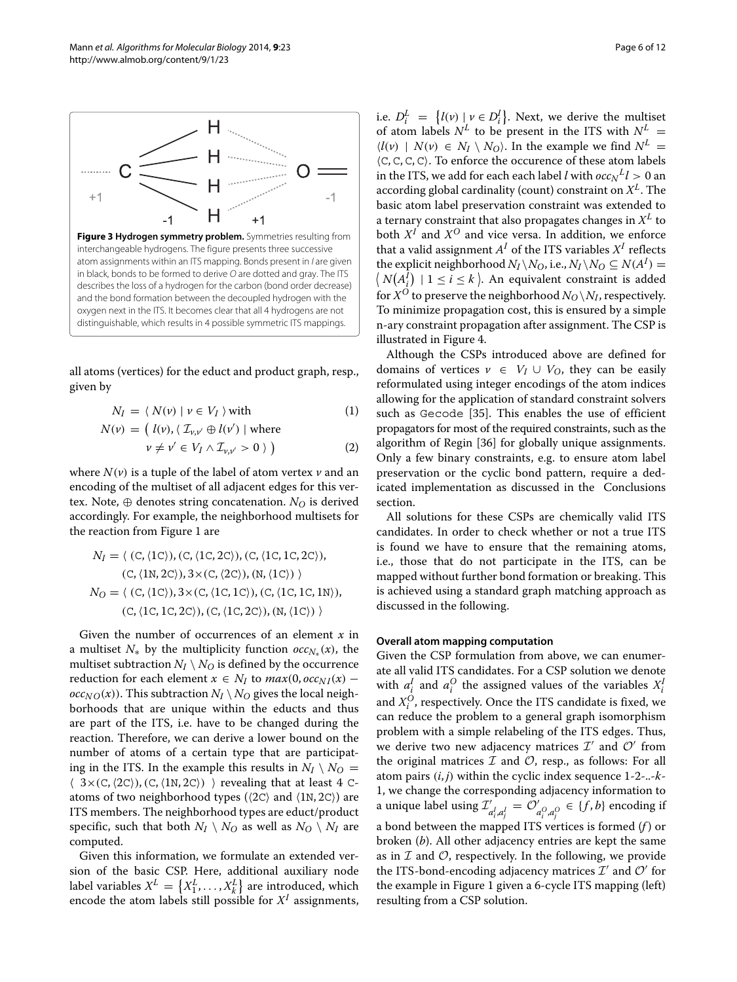

<span id="page-5-0"></span>interchangeable hydrogens. The figure presents three successive atom assignments within an ITS mapping. Bonds present in *l* are given in black, bonds to be formed to derive O are dotted and gray. The ITS describes the loss of a hydrogen for the carbon (bond order decrease) and the bond formation between the decoupled hydrogen with the oxygen next in the ITS. It becomes clear that all 4 hydrogens are not distinguishable, which results in 4 possible symmetric ITS mappings.

all atoms (vertices) for the educt and product graph, resp., given by

$$
N_I = \langle N(\nu) \mid \nu \in V_I \rangle \text{ with } (1)
$$

$$
N(v) = (l(v), \langle \mathcal{I}_{v,v'} \oplus l(v') | \text{ where}
$$
  

$$
v \neq v' \in V_I \wedge \mathcal{I}_{v,v'} > 0 ) )
$$
 (2)

where  $N(v)$  is a tuple of the label of atom vertex  $v$  and an encoding of the multiset of all adjacent edges for this vertex. Note,  $\oplus$  denotes string concatenation. N<sub>O</sub> is derived accordingly. For example, the neighborhood multisets for the reaction from Figure [1](#page-1-0) are

$$
N_I = \langle (C, \langle 1C \rangle), (C, \langle 1C, 2C \rangle), (C, \langle 1C, 1C, 2C \rangle), (C, \langle 1N, 2C \rangle), 3 \times (C, \langle 2C \rangle), (N, \langle 1C \rangle) \rangle N_O = \langle (C, \langle 1C \rangle), 3 \times (C, \langle 1C, 1C \rangle), (C, \langle 1C, 1C, 1N \rangle), (C, \langle 1C, 1C, 2C \rangle), (C, \langle 1C, 2C \rangle), (N, \langle 1C \rangle) \rangle
$$

Given the number of occurrences of an element *x* in a multiset  $N_*$  by the multiplicity function  $occ_{N_*}(x)$ , the multiset subtraction  $N_I \setminus N_O$  is defined by the occurrence reduction for each element  $x \in N_I$  to  $max(0, occ_{NI}(x)$  $occ_{NO}(x)$ ). This subtraction  $N_I \setminus N_O$  gives the local neighborhoods that are unique within the educts and thus are part of the ITS, i.e. have to be changed during the reaction. Therefore, we can derive a lower bound on the number of atoms of a certain type that are participating in the ITS. In the example this results in  $N_I \setminus N_O$  =  $\langle 3 \times (C, \langle 2C \rangle), (C, \langle 1N, 2C \rangle) \rangle$  revealing that at least 4 Catoms of two neighborhood types ( $\langle 2C \rangle$  and  $\langle 1N, 2C \rangle$ ) are ITS members. The neighborhood types are educt/product specific, such that both  $N_I \setminus N_O$  as well as  $N_O \setminus N_I$  are computed.

Given this information, we formulate an extended version of the basic CSP. Here, additional auxiliary node label variables  $X^L = \left\{X_1^L, \ldots, X_k^L\right\}$  are introduced, which encode the atom labels still possible for  $X<sup>I</sup>$  assignments,

i.e.  $D_i^L = \{l(v) \mid v \in D_i^I\}$ . Next, we derive the multiset of atom labels  $N^L$  to be present in the ITS with  $N^L$  =  $\langle l(v) \mid N(v) \in N_I \setminus N_O \rangle$ . In the example we find  $N^L =$  $\langle C, C, C, C \rangle$ . To enforce the occurence of these atom labels in the ITS, we add for each each label  $l$  with  $\mathit{occ}_N{}^L l > 0$  an according global cardinality (count) constraint on *XL*. The basic atom label preservation constraint was extended to a ternary constraint that also propagates changes in *X<sup>L</sup>* to both  $X^I$  and  $X^O$  and vice versa. In addition, we enforce that a valid assignment  $A<sup>I</sup>$  of the ITS variables  $X<sup>I</sup>$  reflects the explicit neighborhood  $N_I\backslash N_O$ , i.e.,  $N_I\backslash N_O\subseteq N(A^I)=$  $\big\langle\, N\big(A^{I}_{i}\big) \, \mid 1 \leq i \leq k \,\big\rangle$ . An equivalent constraint is added for  $X^O$  to preserve the neighborhood  $N_O \setminus N_I$ , respectively. To minimize propagation cost, this is ensured by a simple n-ary constraint propagation after assignment. The CSP is illustrated in Figure [4.](#page-6-0)

Although the CSPs introduced above are defined for domains of vertices  $v \in V_I \cup V_O$ , they can be easily reformulated using integer encodings of the atom indices allowing for the application of standard constraint solvers such as Gecode [\[35\]](#page-11-15). This enables the use of efficient propagators for most of the required constraints, such as the algorithm of Regin [\[36\]](#page-11-16) for globally unique assignments. Only a few binary constraints, e.g. to ensure atom label preservation or the cyclic bond pattern, require a dedicated implementation as discussed in the [Conclusions](#page-9-0) [se](#page-9-0)ction.

All solutions for these CSPs are chemically valid ITS candidates. In order to check whether or not a true ITS is found we have to ensure that the remaining atoms, i.e., those that do not participate in the ITS, can be mapped without further bond formation or breaking. This is achieved using a standard graph matching approach as discussed in the following.

# **Overall atom mapping computation**

Given the CSP formulation from above, we can enumerate all valid ITS candidates. For a CSP solution we denote with  $a_i^I$  and  $a_i^O$  the assigned values of the variables  $X_i^I$ and  $X_i^O$ , respectively. Once the ITS candidate is fixed, we can reduce the problem to a general graph isomorphism problem with a simple relabeling of the ITS edges. Thus, we derive two new adjacency matrices  $\mathcal{I}'$  and  $\mathcal{O}'$  from the original matrices  $\mathcal I$  and  $\mathcal O$ , resp., as follows: For all atom pairs (*i*, *j*) within the cyclic index sequence 1-2-..-*k*-1, we change the corresponding adjacency information to a unique label using  $\mathcal{I}_{a_i^f, a_j^f}^j = \mathcal{O}'_{a_i^O, a_j^O} \in \{f, b\}$  encoding if a bond between the mapped ITS vertices is formed (*f* ) or broken (*b*). All other adjacency entries are kept the same as in  $\mathcal I$  and  $\mathcal O$ , respectively. In the following, we provide the ITS-bond-encoding adjacency matrices  $\mathcal{I}'$  and  $\mathcal{O}'$  for the example in Figure [1](#page-1-0) given a 6-cycle ITS mapping (left) resulting from a CSP solution.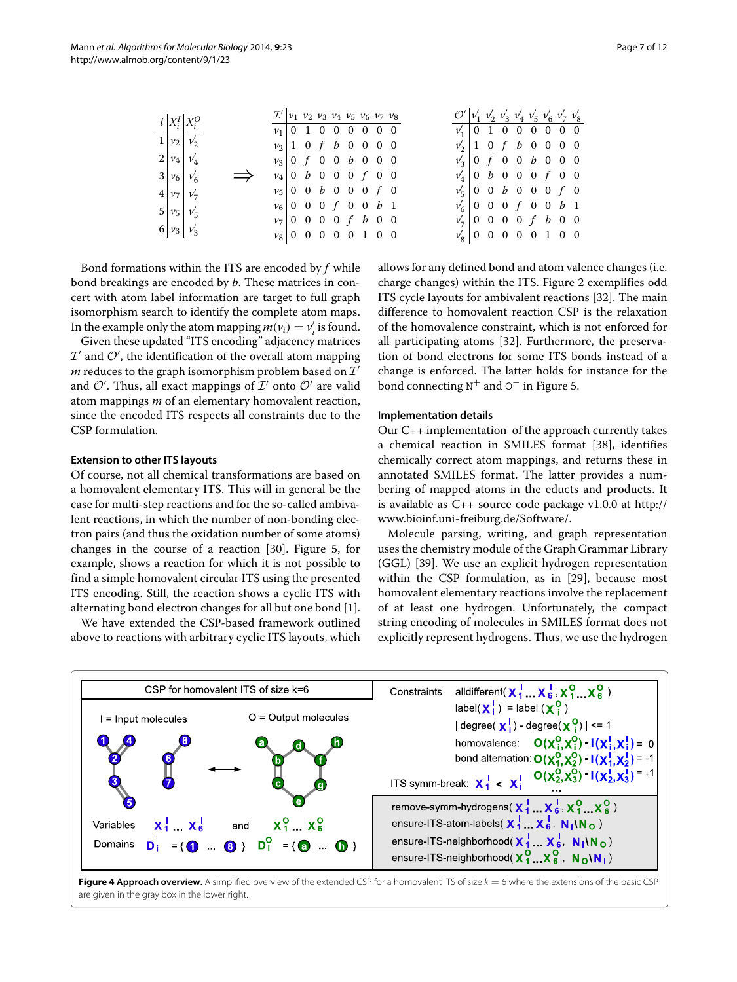|                 | $i\left X_i^I\right X_i^O$ |               | $\mathcal{I}' v_1 v_2 v_3 v_4 v_5 v_6 v_7 v_8$ |  |  |  |  | $\mathcal{O}' v'_1 v'_2 v'_3 v'_4 v'_5 v'_6 v'_7 v'_8$ |  |  |  |  |
|-----------------|----------------------------|---------------|------------------------------------------------|--|--|--|--|--------------------------------------------------------|--|--|--|--|
|                 |                            |               | $v_1$   0 1 0 0 0 0 0 0                        |  |  |  |  | $v'_1$   0 1 0 0 0 0 0 0                               |  |  |  |  |
|                 | $1 \nu_2 \nu'_2$           |               | $v_2$ 1 0 f b 0 0 0 0                          |  |  |  |  | $v'_2$ 1 0 f b 0 0 0 0                                 |  |  |  |  |
|                 | $2 \nu_4 \nu'_4$           |               | $v_3$ 0 f 0 0 b 0 0 0                          |  |  |  |  | $v'_3$ 0 f 0 0 b 0 0 0                                 |  |  |  |  |
|                 | $3 v_6 v'_6$               | $\Rightarrow$ | $v_4$ 0 b 0 0 0 f 0 0                          |  |  |  |  | $v'_4$ 0 b 0 0 0 f 0 0                                 |  |  |  |  |
| $4 v_7 v'_7$    |                            |               | $v_5$ 0 0 b 0 0 0 f 0                          |  |  |  |  | $v'_5$ 0 0 b 0 0 0 f 0                                 |  |  |  |  |
| $5 \nu_5 \nu_5$ |                            |               | $v_6$ 0 0 0 f 0 0 b 1                          |  |  |  |  | $v'_6$ 0 0 0 f 0 0 b 1                                 |  |  |  |  |
|                 |                            |               | $v_7$ 0 0 0 0 f b 0 0                          |  |  |  |  | $v'_7$ 0 0 0 0 f b 0 0                                 |  |  |  |  |
| $6 v_3 v'_3$    |                            |               | $v_8$ 0 0 0 0 0 1 0 0                          |  |  |  |  | $v'_{8}$ 0 0 0 0 0 1 0 0                               |  |  |  |  |

Bond formations within the ITS are encoded by *f* while bond breakings are encoded by *b*. These matrices in concert with atom label information are target to full graph isomorphism search to identify the complete atom maps. In the example only the atom mapping  $m(v_i) = v'_i$  is found.

Given these updated "ITS encoding" adjacency matrices  $\mathcal{I}'$  and  $\mathcal{O}'$ , the identification of the overall atom mapping *m* reduces to the graph isomorphism problem based on  $\mathcal{I}'$ and  $\mathcal{O}'$ . Thus, all exact mappings of  $\mathcal{I}'$  onto  $\mathcal{O}'$  are valid atom mappings *m* of an elementary homovalent reaction, since the encoded ITS respects all constraints due to the CSP formulation.

# **Extension to other ITS layouts**

Of course, not all chemical transformations are based on a homovalent elementary ITS. This will in general be the case for multi-step reactions and for the so-called ambivalent reactions, in which the number of non-bonding electron pairs (and thus the oxidation number of some atoms) changes in the course of a reaction [\[30\]](#page-11-10). Figure [5,](#page-7-1) for example, shows a reaction for which it is not possible to find a simple homovalent circular ITS using the presented ITS encoding. Still, the reaction shows a cyclic ITS with alternating bond electron changes for all but one bond [\[1\]](#page-10-0).

We have extended the CSP-based framework outlined above to reactions with arbitrary cyclic ITS layouts, which allows for any defined bond and atom valence changes (i.e. charge changes) within the ITS. Figure [2](#page-4-0) exemplifies odd ITS cycle layouts for ambivalent reactions [\[32\]](#page-11-12). The main difference to homovalent reaction CSP is the relaxation of the homovalence constraint, which is not enforced for all participating atoms [\[32\]](#page-11-12). Furthermore, the preservation of bond electrons for some ITS bonds instead of a change is enforced. The latter holds for instance for the bond connecting  $N^+$  and  $O^-$  in Figure [5.](#page-7-1)

#### **Implementation details**

Our C++ implementation of the approach currently takes a chemical reaction in SMILES format [\[38\]](#page-11-17), identifies chemically correct atom mappings, and returns these in annotated SMILES format. The latter provides a numbering of mapped atoms in the educts and products. It is available as C++ source code package v1.0.0 at [http://](http://www.bioinf.uni-freiburg.de/Software/) [www.bioinf.uni-freiburg.de/Software/.](http://www.bioinf.uni-freiburg.de/Software/)

Molecule parsing, writing, and graph representation uses the chemistry module of the Graph Grammar Library (GGL) [\[39\]](#page-11-18). We use an explicit hydrogen representation within the CSP formulation, as in [\[29\]](#page-11-9), because most homovalent elementary reactions involve the replacement of at least one hydrogen. Unfortunately, the compact string encoding of molecules in SMILES format does not explicitly represent hydrogens. Thus, we use the hydrogen



<span id="page-6-0"></span>are given in the gray box in the lower right.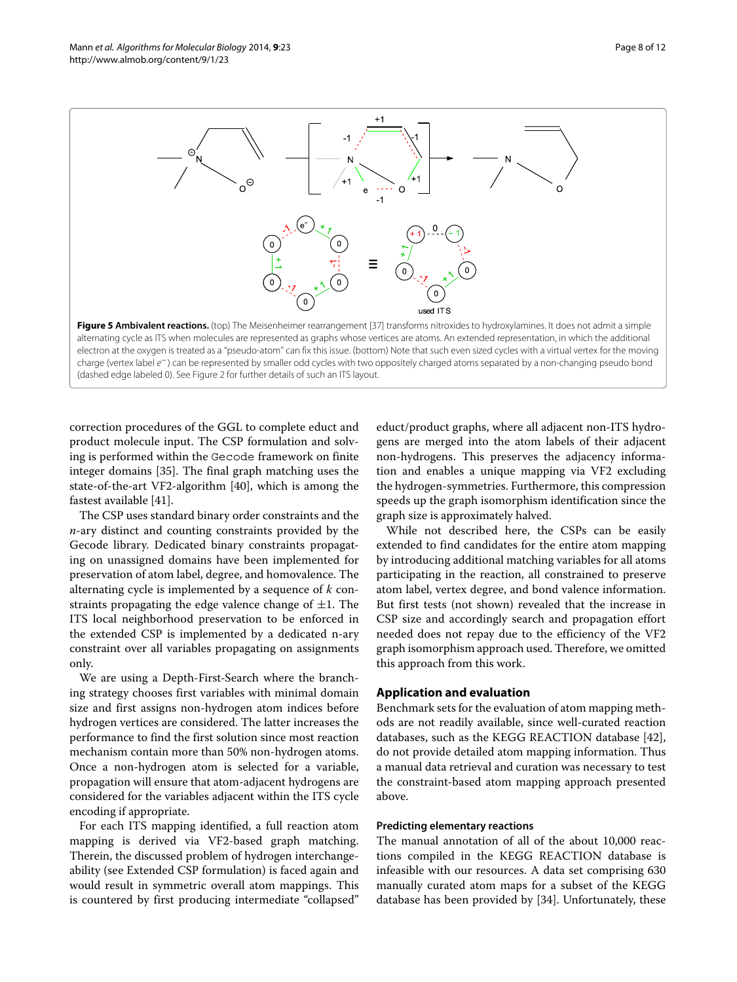

<span id="page-7-1"></span>(dashed edge labeled 0). See Figure [2](#page-4-0) for further details of such an ITS layout.

correction procedures of the GGL to complete educt and product molecule input. The CSP formulation and solving is performed within the Gecode framework on finite integer domains [\[35\]](#page-11-15). The final graph matching uses the state-of-the-art VF2-algorithm [\[40\]](#page-11-20), which is among the fastest available [\[41\]](#page-11-21).

The CSP uses standard binary order constraints and the *n*-ary distinct and counting constraints provided by the Gecode library. Dedicated binary constraints propagating on unassigned domains have been implemented for preservation of atom label, degree, and homovalence. The alternating cycle is implemented by a sequence of *k* constraints propagating the edge valence change of  $\pm 1$ . The ITS local neighborhood preservation to be enforced in the extended CSP is implemented by a dedicated n-ary constraint over all variables propagating on assignments only.

We are using a Depth-First-Search where the branching strategy chooses first variables with minimal domain size and first assigns non-hydrogen atom indices before hydrogen vertices are considered. The latter increases the performance to find the first solution since most reaction mechanism contain more than 50% non-hydrogen atoms. Once a non-hydrogen atom is selected for a variable, propagation will ensure that atom-adjacent hydrogens are considered for the variables adjacent within the ITS cycle encoding if appropriate.

For each ITS mapping identified, a full reaction atom mapping is derived via VF2-based graph matching. Therein, the discussed problem of hydrogen interchangeability (see [Extended CSP formulation\)](#page-4-1) is faced again and would result in symmetric overall atom mappings. This is countered by first producing intermediate "collapsed"

educt/product graphs, where all adjacent non-ITS hydrogens are merged into the atom labels of their adjacent non-hydrogens. This preserves the adjacency information and enables a unique mapping via VF2 excluding the hydrogen-symmetries. Furthermore, this compression speeds up the graph isomorphism identification since the graph size is approximately halved.

While not described here, the CSPs can be easily extended to find candidates for the entire atom mapping by introducing additional matching variables for all atoms participating in the reaction, all constrained to preserve atom label, vertex degree, and bond valence information. But first tests (not shown) revealed that the increase in CSP size and accordingly search and propagation effort needed does not repay due to the efficiency of the VF2 graph isomorphism approach used. Therefore, we omitted this approach from this work.

## <span id="page-7-0"></span>**Application and evaluation**

<span id="page-7-2"></span>Benchmark sets for the evaluation of atom mapping methods are not readily available, since well-curated reaction databases, such as the KEGG REACTION database [\[42\]](#page-11-22), do not provide detailed atom mapping information. Thus a manual data retrieval and curation was necessary to test the constraint-based atom mapping approach presented above.

## **Predicting elementary reactions**

The manual annotation of all of the about 10,000 reactions compiled in the KEGG REACTION database is infeasible with our resources. A data set comprising 630 manually curated atom maps for a subset of the KEGG database has been provided by [\[34\]](#page-11-14). Unfortunately, these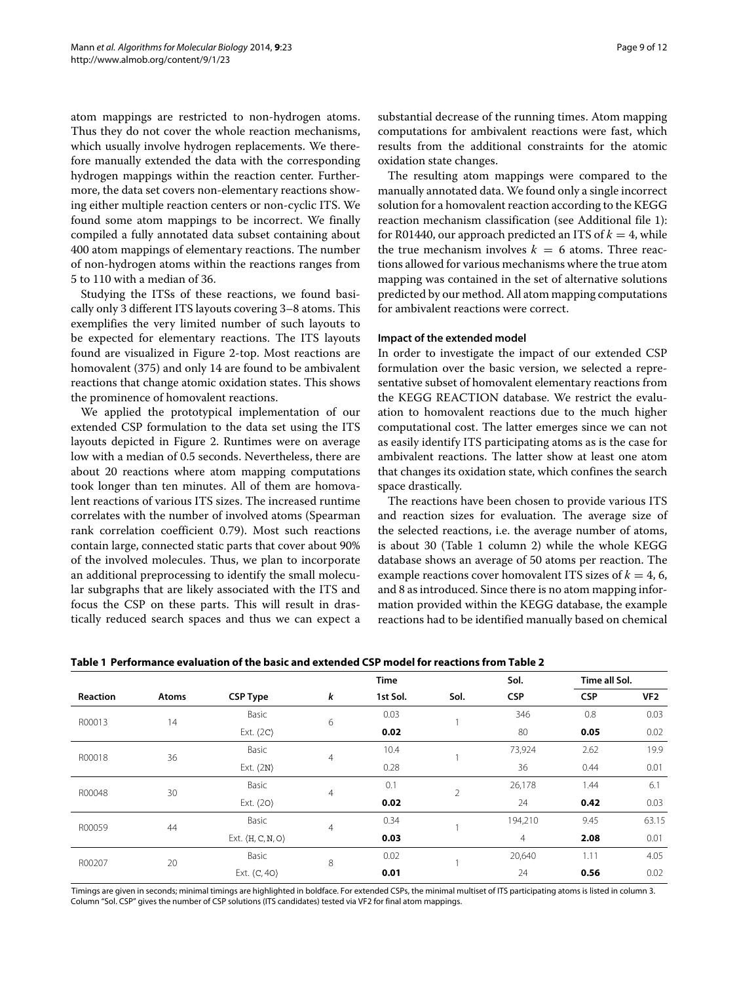atom mappings are restricted to non-hydrogen atoms. Thus they do not cover the whole reaction mechanisms, which usually involve hydrogen replacements. We therefore manually extended the data with the corresponding hydrogen mappings within the reaction center. Furthermore, the data set covers non-elementary reactions showing either multiple reaction centers or non-cyclic ITS. We found some atom mappings to be incorrect. We finally compiled a fully annotated data subset containing about 400 atom mappings of elementary reactions. The number of non-hydrogen atoms within the reactions ranges from 5 to 110 with a median of 36.

Studying the ITSs of these reactions, we found basically only 3 different ITS layouts covering 3–8 atoms. This exemplifies the very limited number of such layouts to be expected for elementary reactions. The ITS layouts found are visualized in Figure [2-](#page-4-0)top. Most reactions are homovalent (375) and only 14 are found to be ambivalent reactions that change atomic oxidation states. This shows the prominence of homovalent reactions.

We applied the prototypical implementation of our extended CSP formulation to the data set using the ITS layouts depicted in Figure [2.](#page-4-0) Runtimes were on average low with a median of 0.5 seconds. Nevertheless, there are about 20 reactions where atom mapping computations took longer than ten minutes. All of them are homovalent reactions of various ITS sizes. The increased runtime correlates with the number of involved atoms (Spearman rank correlation coefficient 0.79). Most such reactions contain large, connected static parts that cover about 90% of the involved molecules. Thus, we plan to incorporate an additional preprocessing to identify the small molecular subgraphs that are likely associated with the ITS and focus the CSP on these parts. This will result in drastically reduced search spaces and thus we can expect a

substantial decrease of the running times. Atom mapping computations for ambivalent reactions were fast, which results from the additional constraints for the atomic oxidation state changes.

The resulting atom mappings were compared to the manually annotated data. We found only a single incorrect solution for a homovalent reaction according to the KEGG reaction mechanism classification (see Additional file [1\)](#page-10-17): for R01440, our approach predicted an ITS of  $k = 4$ , while the true mechanism involves  $k = 6$  atoms. Three reactions allowed for various mechanisms where the true atom mapping was contained in the set of alternative solutions predicted by our method. All atom mapping computations for ambivalent reactions were correct.

#### **Impact of the extended model**

In order to investigate the impact of our extended CSP formulation over the basic version, we selected a representative subset of homovalent elementary reactions from the KEGG REACTION database. We restrict the evaluation to homovalent reactions due to the much higher computational cost. The latter emerges since we can not as easily identify ITS participating atoms as is the case for ambivalent reactions. The latter show at least one atom that changes its oxidation state, which confines the search space drastically.

The reactions have been chosen to provide various ITS and reaction sizes for evaluation. The average size of the selected reactions, i.e. the average number of atoms, is about 30 (Table [1](#page-8-0) column 2) while the whole KEGG database shows an average of 50 atoms per reaction. The example reactions cover homovalent ITS sizes of  $k = 4, 6$ , and 8 as introduced. Since there is no atom mapping information provided within the KEGG database, the example reactions had to be identified manually based on chemical

<span id="page-8-0"></span>

|                 |       |                                   |                | Time     |                | Sol.           | Time all Sol. |                 |
|-----------------|-------|-----------------------------------|----------------|----------|----------------|----------------|---------------|-----------------|
| <b>Reaction</b> | Atoms | <b>CSP Type</b>                   | k              | 1st Sol. | Sol.           | <b>CSP</b>     | <b>CSP</b>    | VF <sub>2</sub> |
| R00013          | 14    | Basic                             | 6              | 0.03     |                | 346            | 0.8           | 0.03            |
|                 |       | Ext. $\langle 2C \rangle$         |                | 0.02     |                | 80             | 0.05          | 0.02            |
| R00018          | 36    | Basic                             | $\overline{4}$ | 10.4     |                | 73,924         | 2.62          | 19.9            |
|                 |       | Ext. $\langle 2N \rangle$         |                | 0.28     |                | 36             | 0.44          | 0.01            |
| R00048          | 30    | Basic                             | $\overline{4}$ | 0.1      | $\overline{2}$ | 26,178         | 1.44          | 6.1             |
|                 |       | Ext. (20)                         |                | 0.02     |                | 24             | 0.42          | 0.03            |
| R00059          | 44    | Basic                             | $\overline{4}$ | 0.34     |                | 194,210        | 9.45          | 63.15           |
|                 |       | $Ext. \langle H, C, N, O \rangle$ |                | 0.03     |                | $\overline{4}$ | 2.08          | 0.01            |
| R00207          | 20    | Basic                             | 8              | 0.02     |                | 20,640         | 1.11          | 4.05            |
|                 |       | Ext. $\langle C, 40 \rangle$      |                | 0.01     |                | 24             | 0.56          | 0.02            |

**Table 1 Performance evaluation of the basic and extended CSP model for reactions from Table [2](#page-9-1)**

Timings are given in seconds; minimal timings are highlighted in boldface. For extended CSPs, the minimal multiset of ITS participating atoms is listed in column 3. Column "Sol. CSP" gives the number of CSP solutions (ITS candidates) tested via VF2 for final atom mappings.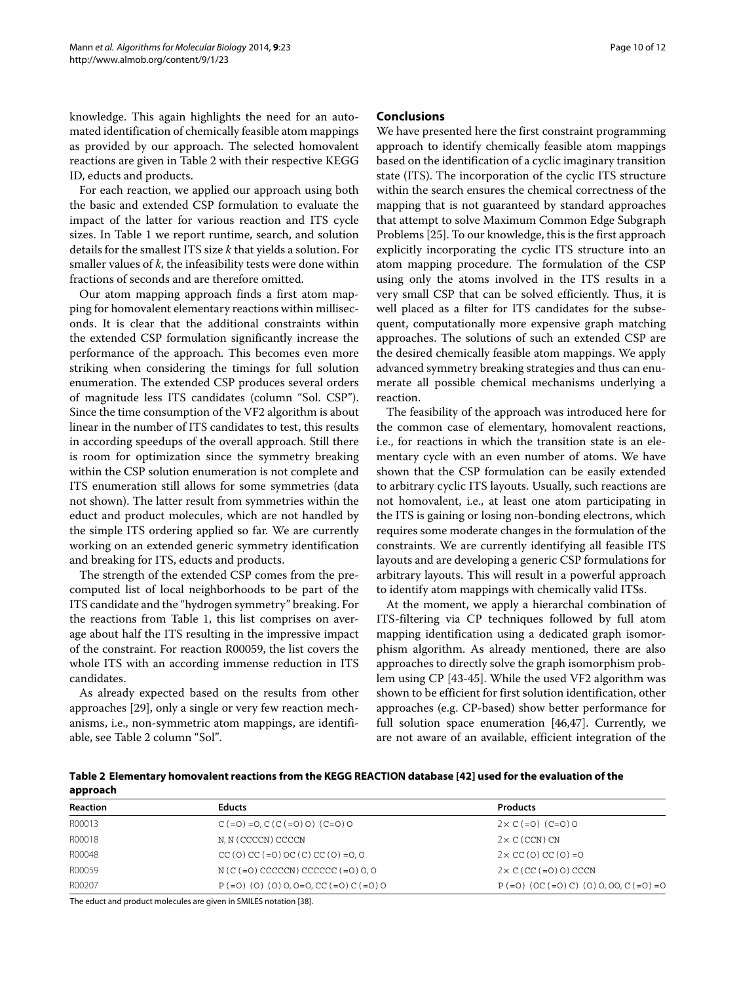knowledge. This again highlights the need for an automated identification of chemically feasible atom mappings as provided by our approach. The selected homovalent reactions are given in Table [2](#page-9-1) with their respective KEGG ID, educts and products.

For each reaction, we applied our approach using both the basic and extended CSP formulation to evaluate the impact of the latter for various reaction and ITS cycle sizes. In Table [1](#page-8-0) we report runtime, search, and solution details for the smallest ITS size *k* that yields a solution. For smaller values of *k*, the infeasibility tests were done within fractions of seconds and are therefore omitted.

Our atom mapping approach finds a first atom mapping for homovalent elementary reactions within milliseconds. It is clear that the additional constraints within the extended CSP formulation significantly increase the performance of the approach. This becomes even more striking when considering the timings for full solution enumeration. The extended CSP produces several orders of magnitude less ITS candidates (column "Sol. CSP"). Since the time consumption of the VF2 algorithm is about linear in the number of ITS candidates to test, this results in according speedups of the overall approach. Still there is room for optimization since the symmetry breaking within the CSP solution enumeration is not complete and ITS enumeration still allows for some symmetries (data not shown). The latter result from symmetries within the educt and product molecules, which are not handled by the simple ITS ordering applied so far. We are currently working on an extended generic symmetry identification and breaking for ITS, educts and products.

The strength of the extended CSP comes from the precomputed list of local neighborhoods to be part of the ITS candidate and the "hydrogen symmetry" breaking. For the reactions from Table [1,](#page-8-0) this list comprises on average about half the ITS resulting in the impressive impact of the constraint. For reaction R00059, the list covers the whole ITS with an according immense reduction in ITS candidates.

As already expected based on the results from other approaches [\[29\]](#page-11-9), only a single or very few reaction mechanisms, i.e., non-symmetric atom mappings, are identifiable, see Table [2](#page-9-1) column "Sol".

## **Conclusions**

<span id="page-9-0"></span>We have presented here the first constraint programming approach to identify chemically feasible atom mappings based on the identification of a cyclic imaginary transition state (ITS). The incorporation of the cyclic ITS structure within the search ensures the chemical correctness of the mapping that is not guaranteed by standard approaches that attempt to solve Maximum Common Edge Subgraph Problems [\[25\]](#page-11-5). To our knowledge, this is the first approach explicitly incorporating the cyclic ITS structure into an atom mapping procedure. The formulation of the CSP using only the atoms involved in the ITS results in a very small CSP that can be solved efficiently. Thus, it is well placed as a filter for ITS candidates for the subsequent, computationally more expensive graph matching approaches. The solutions of such an extended CSP are the desired chemically feasible atom mappings. We apply advanced symmetry breaking strategies and thus can enumerate all possible chemical mechanisms underlying a reaction.

The feasibility of the approach was introduced here for the common case of elementary, homovalent reactions, i.e., for reactions in which the transition state is an elementary cycle with an even number of atoms. We have shown that the CSP formulation can be easily extended to arbitrary cyclic ITS layouts. Usually, such reactions are not homovalent, i.e., at least one atom participating in the ITS is gaining or losing non-bonding electrons, which requires some moderate changes in the formulation of the constraints. We are currently identifying all feasible ITS layouts and are developing a generic CSP formulations for arbitrary layouts. This will result in a powerful approach to identify atom mappings with chemically valid ITSs.

At the moment, we apply a hierarchal combination of ITS-filtering via CP techniques followed by full atom mapping identification using a dedicated graph isomorphism algorithm. As already mentioned, there are also approaches to directly solve the graph isomorphism problem using CP [\[43](#page-11-23)[-45\]](#page-11-24). While the used VF2 algorithm was shown to be efficient for first solution identification, other approaches (e.g. CP-based) show better performance for full solution space enumeration [\[46](#page-11-25)[,47\]](#page-11-26). Currently, we are not aware of an available, efficient integration of the

<span id="page-9-1"></span>**Table 2 Elementary homovalent reactions from the KEGG REACTION database [\[42\]](#page-11-22) used for the evaluation of the approach**

| <b>Educts</b>                             | <b>Products</b>                            |
|-------------------------------------------|--------------------------------------------|
| $C (=0) = 0, C (C (=0) 0) (C=0) 0$        | $2 \times C (=0)$ (C=0) 0                  |
| N, N (CCCCN) CCCCN                        | $2 \times C$ (CCN) CN                      |
| $CC(0) CC(=0) OC(C) CC(0) = 0, 0$         | $2 \times CC(0) CC(0) = 0$                 |
| $N(C (=0)$ CCCCCN) CCCCCC $(=0)$ 0, 0     | $2 \times C$ (CC (=0) 0) CCCN              |
| $P (=0)$ (0) (0) 0, 0=0, CC (=0) C (=0) 0 | $P (=O) (OC (=O) C) (O) O, OO, C (=O) = O$ |
|                                           |                                            |

The educt and product molecules are given in SMILES notation [\[38\]](#page-11-17).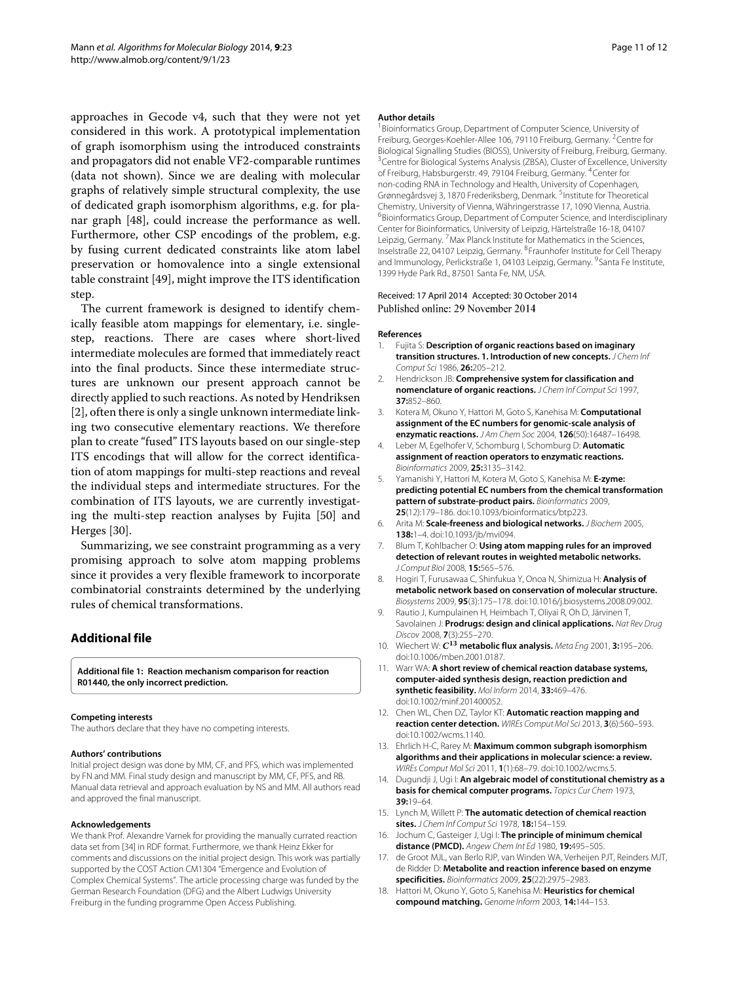approaches in Gecode v4, such that they were not yet considered in this work. A prototypical implementation of graph isomorphism using the introduced constraints and propagators did not enable VF2-comparable runtimes (data not shown). Since we are dealing with molecular graphs of relatively simple structural complexity, the use of dedicated graph isomorphism algorithms, e.g. for planar graph [\[48\]](#page-11-27), could increase the performance as well. Furthermore, other CSP encodings of the problem, e.g. by fusing current dedicated constraints like atom label preservation or homovalence into a single extensional table constraint [\[49\]](#page-11-28), might improve the ITS identification step.

The current framework is designed to identify chemically feasible atom mappings for elementary, i.e. singlestep, reactions. There are cases where short-lived intermediate molecules are formed that immediately react into the final products. Since these intermediate structures are unknown our present approach cannot be directly applied to such reactions. As noted by Hendriksen [\[2\]](#page-10-1), often there is only a single unknown intermediate linking two consecutive elementary reactions. We therefore plan to create "fused" ITS layouts based on our single-step ITS encodings that will allow for the correct identification of atom mappings for multi-step reactions and reveal the individual steps and intermediate structures. For the combination of ITS layouts, we are currently investigating the multi-step reaction analyses by Fujita [\[50\]](#page-11-29) and Herges [\[30\]](#page-11-10).

Summarizing, we see constraint programming as a very promising approach to solve atom mapping problems since it provides a very flexible framework to incorporate combinatorial constraints determined by the underlying rules of chemical transformations.

# **Additional file**

<span id="page-10-17"></span>**[Additional file 1:](http://www.almob.org/content/supplementary/s13015-014-0023-3-s1.pdf) Reaction mechanism comparison for reaction R01440, the only incorrect prediction.**

#### **Competing interests**

The authors declare that they have no competing interests.

#### **Authors' contributions**

Initial project design was done by MM, CF, and PFS, which was implemented by FN and MM. Final study design and manuscript by MM, CF, PFS, and RB. Manual data retrieval and approach evaluation by NS and MM. All authors read and approved the final manuscript.

#### **Acknowledgements**

We thank Prof. Alexandre Varnek for providing the manually currated reaction data set from [\[34\]](#page-11-14) in RDF format. Furthermore, we thank Heinz Ekker for comments and discussions on the initial project design. This work was partially supported by the COST Action CM1304 "Emergence and Evolution of Complex Chemical Systems". The article processing charge was funded by the German Research Foundation (DFG) and the Albert Ludwigs University Freiburg in the funding programme Open Access Publishing.

#### **Author details**

<sup>1</sup> Bioinformatics Group, Department of Computer Science, University of Freiburg, Georges-Koehler-Allee 106, 79110 Freiburg, Germany. 2Centre for Biological Signalling Studies (BIOSS), University of Freiburg, Freiburg, Germany. <sup>3</sup> Centre for Biological Systems Analysis (ZBSA), Cluster of Excellence, University of Freiburg, Habsburgerstr. 49, 79104 Freiburg, Germany. 4Center for non-coding RNA in Technology and Health, University of Copenhagen, Grønnegårdsvej 3, 1870 Frederiksberg, Denmark. <sup>5</sup>Institute for Theoretical Chemistry, University of Vienna, Währingerstrasse 17, 1090 Vienna, Austria. 6Bioinformatics Group, Department of Computer Science, and Interdisciplinary Center for Bioinformatics, University of Leipzig, Härtelstraße 16-18, 04107 Leipzig, Germany.<sup>7</sup> Max Planck Institute for Mathematics in the Sciences, Inselstraße 22, 04107 Leipzig, Germany. 8Fraunhofer Institute for Cell Therapy and Immunology, Perlickstraße 1, 04103 Leipzig, Germany. <sup>9</sup>Santa Fe Institute, 1399 Hyde Park Rd., 87501 Santa Fe, NM, USA.

#### Received: 17 April 2014 Accepted: 30 October 2014 Published online: 29 November 2014

#### **References**

- <span id="page-10-0"></span>1. Fujita S: **Description of organic reactions based on imaginary** transition structures. 1. Introduction of new concepts. *J Chem Inf* Comput Sci 1986, **26:**205–212.
- <span id="page-10-1"></span>2. Hendrickson JB: **Comprehensive system for classification and nomenclature of organic reactions.** *J Chem Inf Comput Sci* 1997, **37:**852–860.
- <span id="page-10-2"></span>3. Kotera M, Okuno Y, Hattori M, Goto S, Kanehisa M: **Computational assignment of the EC numbers for genomic-scale analysis of enzymatic reactions.** J Am Chem Soc 2004, **126**(50):16487–16498.
- <span id="page-10-15"></span>4. Leber M, Egelhofer V, Schomburg I, Schomburg D: **Automatic assignment of reaction operators to enzymatic reactions.** Bioinformatics 2009, **25:**3135–3142.
- <span id="page-10-3"></span>5. Yamanishi Y, Hattori M, Kotera M, Goto S, Kanehisa M: **E-zyme: predicting potential EC numbers from the chemical transformation pattern of substrate-product pairs.** Bioinformatics 2009, **25**(12):179–186. doi:10.1093/bioinformatics/btp223.
- <span id="page-10-4"></span>6. Arita M: **Scale-freeness and biological networks.** J Biochem 2005, **138:**1–4. doi:10.1093/jb/mvi094.
- <span id="page-10-5"></span>7. Blum T, Kohlbacher O: **Using atom mapping rules for an improved detection of relevant routes in weighted metabolic networks.** J Comput Biol 2008, **15:**565–576.
- <span id="page-10-6"></span>8. Hogiri T, Furusawaa C, Shinfukua Y, Onoa N, Shimizua H: **Analysis of metabolic network based on conservation of molecular structure.** Biosystems 2009, **95**(3):175–178. doi:10.1016/j.biosystems.2008.09.002.
- <span id="page-10-7"></span>9. Rautio J, Kumpulainen H, Heimbach T, Oliyai R, Oh D, Järvinen T, Savolainen J: **Prodrugs: design and clinical applications.** Nat Rev Drug Discov 2008, **7**(3):255–270.
- <span id="page-10-8"></span>10. Wiechert W: *C***<sup>13</sup> metabolic flux analysis.** Meta Eng 2001, **3:**195–206. doi:10.1006/mben.2001.0187.
- <span id="page-10-9"></span>11. Warr WA: **A short review of chemical reaction database systems, computer-aided synthesis design, reaction prediction and synthetic feasibility.** Mol Inform 2014, **33:**469–476. doi:10.1002/minf.201400052.
- <span id="page-10-10"></span>12. Chen WL, Chen DZ, Taylor KT: **Automatic reaction mapping and reaction center detection.** WIREs Comput Mol Sci 2013, **3**(6):560–593. doi:10.1002/wcms.1140.
- <span id="page-10-11"></span>13. Ehrlich H-C, Rarey M: **Maximum common subgraph isomorphism algorithms and their applications in molecular science: a review.** WIREs Comput Mol Sci 2011, **1**(1):68–79. doi:10.1002/wcms.5.
- <span id="page-10-12"></span>14. Dugundji J, Ugi I: **An algebraic model of constitutional chemistry as a basis for chemical computer programs.** Topics Cur Chem 1973, **39:**19–64.
- <span id="page-10-13"></span>15. Lynch M, Willett P: **The automatic detection of chemical reaction sites.** J Chem Inf Comput Sci 1978, **18:**154–159.
- <span id="page-10-14"></span>16. Jochum C, Gasteiger J, Ugi I: **The principle of minimum chemical distance (PMCD).** Angew Chem Int Ed 1980, **19:**495–505.
- <span id="page-10-16"></span>17. de Groot MJL, van Berlo RJP, van Winden WA, Verheijen PJT, Reinders MJT, de Ridder D: **Metabolite and reaction inference based on enzyme specificities.** Bioinformatics 2009, **25**(22):2975–2983.
- 18. Hattori M, Okuno Y, Goto S, Kanehisa M: **Heuristics for chemical compound matching.** Genome Inform 2003, **14:**144–153.